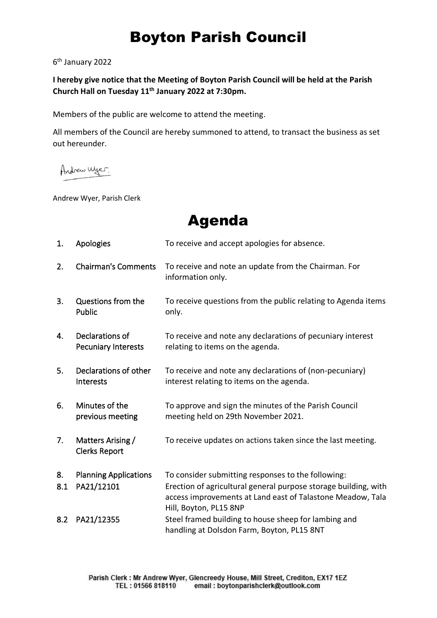## Boyton Parish Council

6 th January 2022

**I hereby give notice that the Meeting of Boyton Parish Council will be held at the Parish Church Hall on Tuesday 11th January 2022 at 7:30pm.**

Members of the public are welcome to attend the meeting.

All members of the Council are hereby summoned to attend, to transact the business as set out hereunder.

Andrew Wyer.

Andrew Wyer, Parish Clerk

Agenda

| 1.  | Apologies                                     | To receive and accept apologies for absence.                                                                                                            |
|-----|-----------------------------------------------|---------------------------------------------------------------------------------------------------------------------------------------------------------|
| 2.  | <b>Chairman's Comments</b>                    | To receive and note an update from the Chairman. For<br>information only.                                                                               |
| 3.  | Questions from the<br>Public                  | To receive questions from the public relating to Agenda items<br>only.                                                                                  |
| 4.  | Declarations of<br><b>Pecuniary Interests</b> | To receive and note any declarations of pecuniary interest<br>relating to items on the agenda.                                                          |
| 5.  | Declarations of other<br>Interests            | To receive and note any declarations of (non-pecuniary)<br>interest relating to items on the agenda.                                                    |
| 6.  | Minutes of the<br>previous meeting            | To approve and sign the minutes of the Parish Council<br>meeting held on 29th November 2021.                                                            |
| 7.  | Matters Arising /<br><b>Clerks Report</b>     | To receive updates on actions taken since the last meeting.                                                                                             |
| 8.  | <b>Planning Applications</b>                  | To consider submitting responses to the following:                                                                                                      |
| 8.1 | PA21/12101                                    | Erection of agricultural general purpose storage building, with<br>access improvements at Land east of Talastone Meadow, Tala<br>Hill, Boyton, PL15 8NP |
| 8.2 | PA21/12355                                    | Steel framed building to house sheep for lambing and<br>handling at Dolsdon Farm, Boyton, PL15 8NT                                                      |